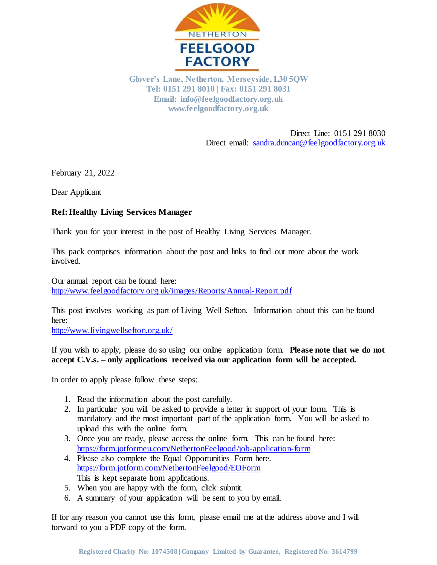

**Glover's Lane, Netherton, Merseyside, L30 5QW Tel: 0151 291 8010 | Fax: 0151 291 8031 Email: info@feelgoodfactory.org.uk www.feelgoodfactory.org.uk**

> Direct Line: 0151 291 8030 Direct email[: sandra.duncan@feelgoodfactory.org.uk](mailto:sandra.duncan@feelgoodfactory.org.uk)

February 21, 2022

Dear Applicant

#### **Ref: Healthy Living Services Manager**

Thank you for your interest in the post of Healthy Living Services Manager.

This pack comprises information about the post and links to find out more about the work involved.

Our annual report can be found here: <http://www.feelgoodfactory.org.uk/images/Reports/Annual-Report.pdf>

This post involves working as part of Living Well Sefton. Information about this can be found here:

<http://www.livingwellsefton.org.uk/>

If you wish to apply, please do so using our online application form. **Please note that we do not accept C.V.s. – only applications received via our application form will be accepted.**

In order to apply please follow these steps:

- 1. Read the information about the post carefully.
- 2. In particular you will be asked to provide a letter in support of your form. This is mandatory and the most important part of the application form. You will be asked to upload this with the online form.
- 3. Once you are ready, please access the online form. This can be found here: <https://form.jotformeu.com/NethertonFeelgood/job-application-form>
- 4. Please also complete the Equal Opportunities Form here. <https://form.jotform.com/NethertonFeelgood/EOForm> This is kept separate from applications.
- 5. When you are happy with the form, click submit.
- 6. A summary of your application will be sent to you by email.

If for any reason you cannot use this form, please email me at the address above and I will forward to you a PDF copy of the form.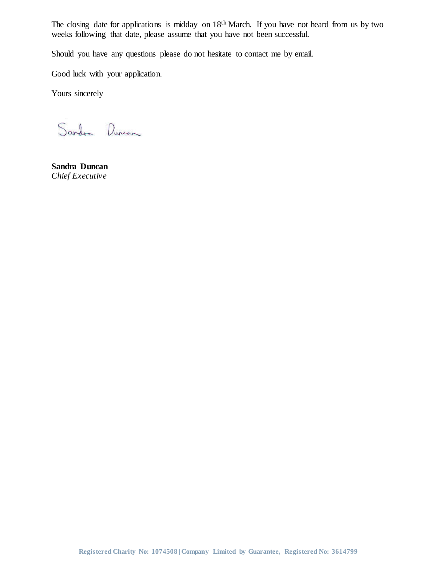The closing date for applications is midday on 18<sup>th</sup> March. If you have not heard from us by two weeks following that date, please assume that you have not been successful.

Should you have any questions please do not hesitate to contact me by email.

Good luck with your application.

Yours sincerely

Sardon Durcon

**Sandra Duncan** *Chief Executive*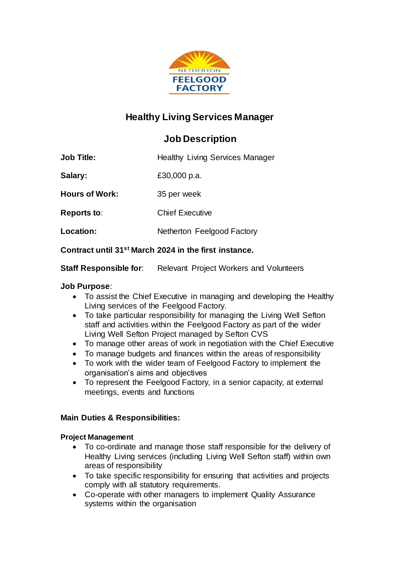

# **Healthy Living Services Manager**

# **Job Description**

| <b>Job Title:</b> |  |  |  | <b>Healthy Living Services Manager</b> |
|-------------------|--|--|--|----------------------------------------|
|-------------------|--|--|--|----------------------------------------|

**Salary:** £30,000 p.a.

**Hours of Work:** 35 per week

**Reports to**: Chief Executive

**Location:** Netherton Feelgood Factory

# **Contract until 31st March 2024 in the first instance.**

**Staff Responsible for:** Relevant Project Workers and Volunteers

## **Job Purpose**:

- To assist the Chief Executive in managing and developing the Healthy Living services of the Feelgood Factory.
- To take particular responsibility for managing the Living Well Sefton staff and activities within the Feelgood Factory as part of the wider Living Well Sefton Project managed by Sefton CVS
- To manage other areas of work in negotiation with the Chief Executive
- To manage budgets and finances within the areas of responsibility
- To work with the wider team of Feelgood Factory to implement the organisation's aims and objectives
- To represent the Feelgood Factory, in a senior capacity, at external meetings, events and functions

# **Main Duties & Responsibilities:**

#### **Project Management**

- To co-ordinate and manage those staff responsible for the delivery of Healthy Living services (including Living Well Sefton staff) within own areas of responsibility
- To take specific responsibility for ensuring that activities and projects comply with all statutory requirements.
- Co-operate with other managers to implement Quality Assurance systems within the organisation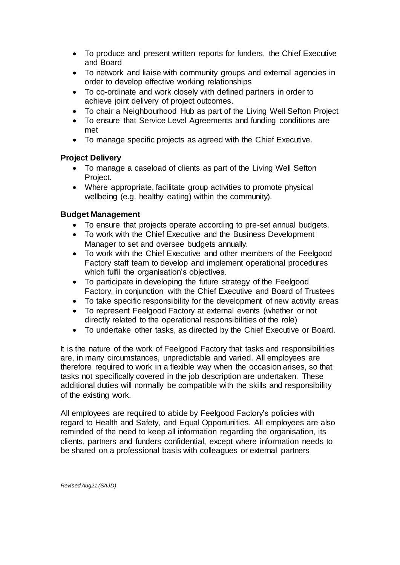- To produce and present written reports for funders, the Chief Executive and Board
- To network and liaise with community groups and external agencies in order to develop effective working relationships
- To co-ordinate and work closely with defined partners in order to achieve joint delivery of project outcomes.
- To chair a Neighbourhood Hub as part of the Living Well Sefton Project
- To ensure that Service Level Agreements and funding conditions are met
- To manage specific projects as agreed with the Chief Executive.

## **Project Delivery**

- To manage a caseload of clients as part of the Living Well Sefton Project.
- Where appropriate, facilitate group activities to promote physical wellbeing (e.g. healthy eating) within the community).

## **Budget Management**

- To ensure that projects operate according to pre-set annual budgets.
- To work with the Chief Executive and the Business Development Manager to set and oversee budgets annually.
- To work with the Chief Executive and other members of the Feelgood Factory staff team to develop and implement operational procedures which fulfil the organisation's objectives.
- To participate in developing the future strategy of the Feelgood Factory, in conjunction with the Chief Executive and Board of Trustees
- To take specific responsibility for the development of new activity areas
- To represent Feelgood Factory at external events (whether or not directly related to the operational responsibilities of the role)
- To undertake other tasks, as directed by the Chief Executive or Board.

It is the nature of the work of Feelgood Factory that tasks and responsibilities are, in many circumstances, unpredictable and varied. All employees are therefore required to work in a flexible way when the occasion arises, so that tasks not specifically covered in the job description are undertaken. These additional duties will normally be compatible with the skills and responsibility of the existing work.

All employees are required to abide by Feelgood Factory's policies with regard to Health and Safety, and Equal Opportunities. All employees are also reminded of the need to keep all information regarding the organisation, its clients, partners and funders confidential, except where information needs to be shared on a professional basis with colleagues or external partners

*Revised Aug21 (SAJD)*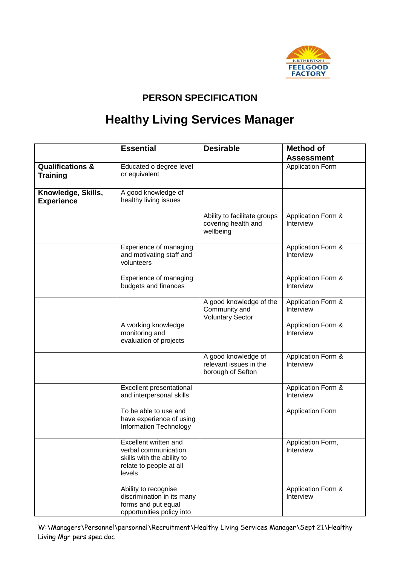

# **PERSON SPECIFICATION**

# **Healthy Living Services Manager**

|                                                | <b>Essential</b>                                                                                                 | <b>Desirable</b>                                                    | <b>Method of</b>                           |
|------------------------------------------------|------------------------------------------------------------------------------------------------------------------|---------------------------------------------------------------------|--------------------------------------------|
|                                                |                                                                                                                  |                                                                     | <b>Assessment</b>                          |
| <b>Qualifications &amp;</b><br><b>Training</b> | Educated o degree level<br>or equivalent                                                                         |                                                                     | <b>Application Form</b>                    |
| Knowledge, Skills,<br><b>Experience</b>        | A good knowledge of<br>healthy living issues                                                                     |                                                                     |                                            |
|                                                |                                                                                                                  | Ability to facilitate groups<br>covering health and<br>wellbeing    | Application Form &<br>Interview            |
|                                                | Experience of managing<br>and motivating staff and<br>volunteers                                                 |                                                                     | Application Form &<br>Interview            |
|                                                | Experience of managing<br>budgets and finances                                                                   |                                                                     | Application Form &<br>Interview            |
|                                                |                                                                                                                  | A good knowledge of the<br>Community and<br><b>Voluntary Sector</b> | Application Form &<br>Interview            |
|                                                | A working knowledge<br>monitoring and<br>evaluation of projects                                                  |                                                                     | <b>Application Form &amp;</b><br>Interview |
|                                                |                                                                                                                  | A good knowledge of<br>relevant issues in the<br>borough of Sefton  | Application Form &<br>Interview            |
|                                                | Excellent presentational<br>and interpersonal skills                                                             |                                                                     | Application Form &<br>Interview            |
|                                                | To be able to use and<br>have experience of using<br>Information Technology                                      |                                                                     | <b>Application Form</b>                    |
|                                                | Excellent written and<br>verbal communication<br>skills with the ability to<br>relate to people at all<br>levels |                                                                     | Application Form,<br>Interview             |
|                                                | Ability to recognise<br>discrimination in its many<br>forms and put equal<br>opportunities policy into           |                                                                     | Application Form &<br>Interview            |